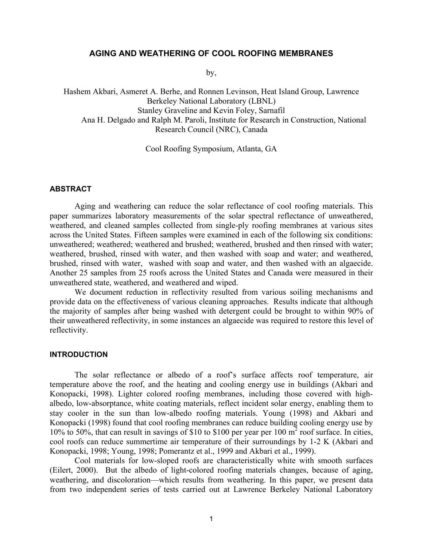# **AGING AND WEATHERING OF COOL ROOFING MEMBRANES**

by,

Hashem Akbari, Asmeret A. Berhe, and Ronnen Levinson, Heat Island Group, Lawrence Berkeley National Laboratory (LBNL) Stanley Graveline and Kevin Foley, Sarnafil Ana H. Delgado and Ralph M. Paroli, Institute for Research in Construction, National Research Council (NRC), Canada

Cool Roofing Symposium, Atlanta, GA

## **ABSTRACT**

Aging and weathering can reduce the solar reflectance of cool roofing materials. This paper summarizes laboratory measurements of the solar spectral reflectance of unweathered, weathered, and cleaned samples collected from single-ply roofing membranes at various sites across the United States. Fifteen samples were examined in each of the following six conditions: unweathered; weathered; weathered and brushed; weathered, brushed and then rinsed with water; weathered, brushed, rinsed with water, and then washed with soap and water; and weathered, brushed, rinsed with water, washed with soap and water, and then washed with an algaecide. Another 25 samples from 25 roofs across the United States and Canada were measured in their unweathered state, weathered, and weathered and wiped.

We document reduction in reflectivity resulted from various soiling mechanisms and provide data on the effectiveness of various cleaning approaches. Results indicate that although the majority of samples after being washed with detergent could be brought to within 90% of their unweathered reflectivity, in some instances an algaecide was required to restore this level of reflectivity.

# **INTRODUCTION**

The solar reflectance or albedo of a roof's surface affects roof temperature, air temperature above the roof, and the heating and cooling energy use in buildings (Akbari and Konopacki, 1998). Lighter colored roofing membranes, including those covered with highalbedo, low-absorptance, white coating materials, reflect incident solar energy, enabling them to stay cooler in the sun than low-albedo roofing materials. Young (1998) and Akbari and Konopacki (1998) found that cool roofing membranes can reduce building cooling energy use by 10% to 50%, that can result in savings of \$10 to \$100 per year per 100 m<sup>2</sup> roof surface. In cities, cool roofs can reduce summertime air temperature of their surroundings by 1-2 K (Akbari and Konopacki, 1998; Young, 1998; Pomerantz et al., 1999 and Akbari et al., 1999).

Cool materials for low-sloped roofs are characteristically white with smooth surfaces (Eilert, 2000). But the albedo of light-colored roofing materials changes, because of aging, weathering, and discoloration—which results from weathering. In this paper, we present data from two independent series of tests carried out at Lawrence Berkeley National Laboratory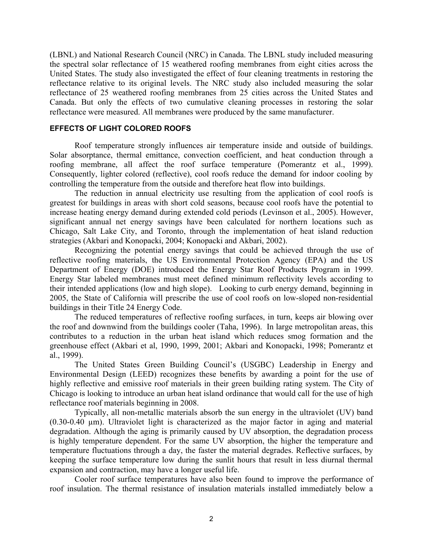(LBNL) and National Research Council (NRC) in Canada. The LBNL study included measuring the spectral solar reflectance of 15 weathered roofing membranes from eight cities across the United States. The study also investigated the effect of four cleaning treatments in restoring the reflectance relative to its original levels. The NRC study also included measuring the solar reflectance of 25 weathered roofing membranes from 25 cities across the United States and Canada. But only the effects of two cumulative cleaning processes in restoring the solar reflectance were measured. All membranes were produced by the same manufacturer.

# **EFFECTS OF LIGHT COLORED ROOFS**

Roof temperature strongly influences air temperature inside and outside of buildings. Solar absorptance, thermal emittance, convection coefficient, and heat conduction through a roofing membrane, all affect the roof surface temperature (Pomerantz et al., 1999). Consequently, lighter colored (reflective), cool roofs reduce the demand for indoor cooling by controlling the temperature from the outside and therefore heat flow into buildings.

The reduction in annual electricity use resulting from the application of cool roofs is greatest for buildings in areas with short cold seasons, because cool roofs have the potential to increase heating energy demand during extended cold periods (Levinson et al., 2005). However, significant annual net energy savings have been calculated for northern locations such as Chicago, Salt Lake City, and Toronto, through the implementation of heat island reduction strategies (Akbari and Konopacki, 2004; Konopacki and Akbari, 2002).

Recognizing the potential energy savings that could be achieved through the use of reflective roofing materials, the US Environmental Protection Agency (EPA) and the US Department of Energy (DOE) introduced the Energy Star Roof Products Program in 1999. Energy Star labeled membranes must meet defined minimum reflectivity levels according to their intended applications (low and high slope). Looking to curb energy demand, beginning in 2005, the State of California will prescribe the use of cool roofs on low-sloped non-residential buildings in their Title 24 Energy Code.

The reduced temperatures of reflective roofing surfaces, in turn, keeps air blowing over the roof and downwind from the buildings cooler (Taha, 1996). In large metropolitan areas, this contributes to a reduction in the urban heat island which reduces smog formation and the greenhouse effect (Akbari et al, 1990, 1999, 2001; Akbari and Konopacki, 1998; Pomerantz et al., 1999).

The United States Green Building Council's (USGBC) Leadership in Energy and Environmental Design (LEED) recognizes these benefits by awarding a point for the use of highly reflective and emissive roof materials in their green building rating system. The City of Chicago is looking to introduce an urban heat island ordinance that would call for the use of high reflectance roof materials beginning in 2008.

Typically, all non-metallic materials absorb the sun energy in the ultraviolet (UV) band (0.30-0.40 µm). Ultraviolet light is characterized as the major factor in aging and material degradation. Although the aging is primarily caused by UV absorption, the degradation process is highly temperature dependent. For the same UV absorption, the higher the temperature and temperature fluctuations through a day, the faster the material degrades. Reflective surfaces, by keeping the surface temperature low during the sunlit hours that result in less diurnal thermal expansion and contraction, may have a longer useful life.

Cooler roof surface temperatures have also been found to improve the performance of roof insulation. The thermal resistance of insulation materials installed immediately below a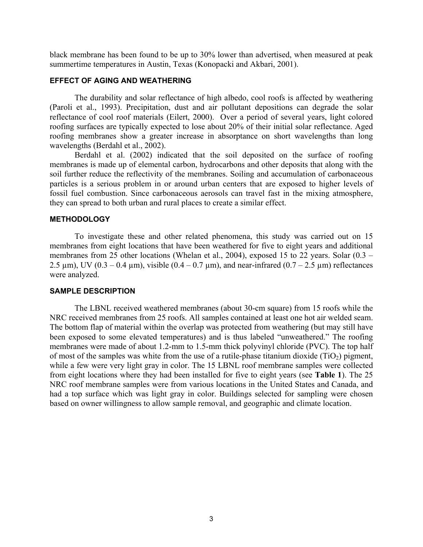black membrane has been found to be up to 30% lower than advertised, when measured at peak summertime temperatures in Austin, Texas (Konopacki and Akbari, 2001).

# **EFFECT OF AGING AND WEATHERING**

The durability and solar reflectance of high albedo, cool roofs is affected by weathering (Paroli et al., 1993). Precipitation, dust and air pollutant depositions can degrade the solar reflectance of cool roof materials (Eilert, 2000). Over a period of several years, light colored roofing surfaces are typically expected to lose about 20% of their initial solar reflectance. Aged roofing membranes show a greater increase in absorptance on short wavelengths than long wavelengths (Berdahl et al., 2002).

Berdahl et al. (2002) indicated that the soil deposited on the surface of roofing membranes is made up of elemental carbon, hydrocarbons and other deposits that along with the soil further reduce the reflectivity of the membranes. Soiling and accumulation of carbonaceous particles is a serious problem in or around urban centers that are exposed to higher levels of fossil fuel combustion. Since carbonaceous aerosols can travel fast in the mixing atmosphere, they can spread to both urban and rural places to create a similar effect.

### **METHODOLOGY**

To investigate these and other related phenomena, this study was carried out on 15 membranes from eight locations that have been weathered for five to eight years and additional membranes from 25 other locations (Whelan et al., 2004), exposed 15 to 22 years. Solar (0.3 – 2.5  $\mu$ m), UV (0.3 – 0.4  $\mu$ m), visible (0.4 – 0.7  $\mu$ m), and near-infrared (0.7 – 2.5  $\mu$ m) reflectances were analyzed.

#### **SAMPLE DESCRIPTION**

The LBNL received weathered membranes (about 30-cm square) from 15 roofs while the NRC received membranes from 25 roofs. All samples contained at least one hot air welded seam. The bottom flap of material within the overlap was protected from weathering (but may still have been exposed to some elevated temperatures) and is thus labeled "unweathered." The roofing membranes were made of about 1.2-mm to 1.5-mm thick polyvinyl chloride (PVC). The top half of most of the samples was white from the use of a rutile-phase titanium dioxide  $(TiO<sub>2</sub>)$  pigment, while a few were very light gray in color. The 15 LBNL roof membrane samples were collected from eight locations where they had been installed for five to eight years (see **Table 1**). The 25 NRC roof membrane samples were from various locations in the United States and Canada, and had a top surface which was light gray in color. Buildings selected for sampling were chosen based on owner willingness to allow sample removal, and geographic and climate location.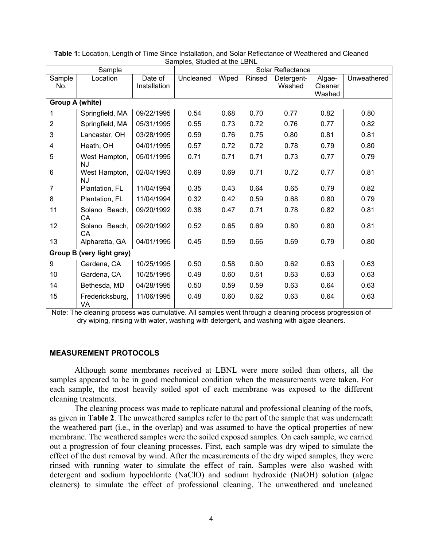| $\frac{1}{2}$             |                            |              |                   |       |        |            |         |             |
|---------------------------|----------------------------|--------------|-------------------|-------|--------|------------|---------|-------------|
| Sample                    |                            |              | Solar Reflectance |       |        |            |         |             |
| Sample                    | Location                   | Date of      | Uncleaned         | Wiped | Rinsed | Detergent- | Algae-  | Unweathered |
| No.                       |                            | Installation |                   |       |        | Washed     | Cleaner |             |
|                           |                            |              |                   |       |        |            | Washed  |             |
| <b>Group A (white)</b>    |                            |              |                   |       |        |            |         |             |
|                           | Springfield, MA            | 09/22/1995   | 0.54              | 0.68  | 0.70   | 0.77       | 0.82    | 0.80        |
| $\overline{2}$            | Springfield, MA            | 05/31/1995   | 0.55              | 0.73  | 0.72   | 0.76       | 0.77    | 0.82        |
| 3                         | Lancaster, OH              | 03/28/1995   | 0.59              | 0.76  | 0.75   | 0.80       | 0.81    | 0.81        |
| 4                         | Heath, OH                  | 04/01/1995   | 0.57              | 0.72  | 0.72   | 0.78       | 0.79    | 0.80        |
| 5                         | West Hampton,<br><b>NJ</b> | 05/01/1995   | 0.71              | 0.71  | 0.71   | 0.73       | 0.77    | 0.79        |
| 6                         | West Hampton,<br><b>NJ</b> | 02/04/1993   | 0.69              | 0.69  | 0.71   | 0.72       | 0.77    | 0.81        |
| 7                         | Plantation, FL             | 11/04/1994   | 0.35              | 0.43  | 0.64   | 0.65       | 0.79    | 0.82        |
| 8                         | Plantation, FL             | 11/04/1994   | 0.32              | 0.42  | 0.59   | 0.68       | 0.80    | 0.79        |
| 11                        | Solano Beach,<br>CA        | 09/20/1992   | 0.38              | 0.47  | 0.71   | 0.78       | 0.82    | 0.81        |
| 12                        | Solano Beach,<br><b>CA</b> | 09/20/1992   | 0.52              | 0.65  | 0.69   | 0.80       | 0.80    | 0.81        |
| 13                        | Alpharetta, GA             | 04/01/1995   | 0.45              | 0.59  | 0.66   | 0.69       | 0.79    | 0.80        |
| Group B (very light gray) |                            |              |                   |       |        |            |         |             |
| 9                         | Gardena, CA                | 10/25/1995   | 0.50              | 0.58  | 0.60   | 0.62       | 0.63    | 0.63        |
| $10$                      | Gardena, CA                | 10/25/1995   | 0.49              | 0.60  | 0.61   | 0.63       | 0.63    | 0.63        |
| 14                        | Bethesda, MD               | 04/28/1995   | 0.50              | 0.59  | 0.59   | 0.63       | 0.64    | 0.63        |
| 15                        | Fredericksburg,<br>VA      | 11/06/1995   | 0.48              | 0.60  | 0.62   | 0.63       | 0.64    | 0.63        |

**Table 1:** Location, Length of Time Since Installation, and Solar Reflectance of Weathered and Cleaned Samples, Studied at the LBNL

Note: The cleaning process was cumulative. All samples went through a cleaning process progression of dry wiping, rinsing with water, washing with detergent, and washing with algae cleaners.

# **MEASUREMENT PROTOCOLS**

Although some membranes received at LBNL were more soiled than others, all the samples appeared to be in good mechanical condition when the measurements were taken. For each sample, the most heavily soiled spot of each membrane was exposed to the different cleaning treatments.

The cleaning process was made to replicate natural and professional cleaning of the roofs, as given in **Table 2**. The unweathered samples refer to the part of the sample that was underneath the weathered part (i.e., in the overlap) and was assumed to have the optical properties of new membrane. The weathered samples were the soiled exposed samples. On each sample, we carried out a progression of four cleaning processes. First, each sample was dry wiped to simulate the effect of the dust removal by wind. After the measurements of the dry wiped samples, they were rinsed with running water to simulate the effect of rain. Samples were also washed with detergent and sodium hypochlorite (NaClO) and sodium hydroxide (NaOH) solution (algae cleaners) to simulate the effect of professional cleaning. The unweathered and uncleaned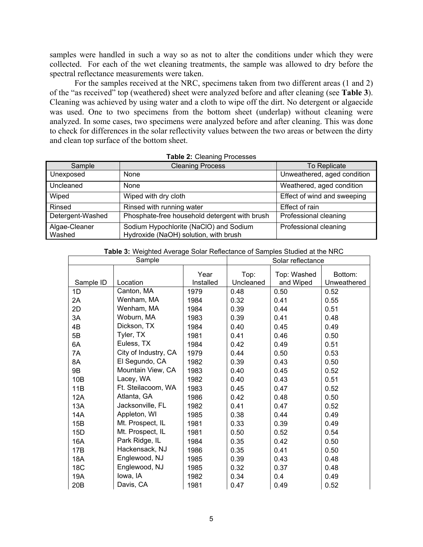samples were handled in such a way so as not to alter the conditions under which they were collected. For each of the wet cleaning treatments, the sample was allowed to dry before the spectral reflectance measurements were taken.

For the samples received at the NRC, specimens taken from two different areas (1 and 2) of the "as received" top (weathered) sheet were analyzed before and after cleaning (see **Table 3**). Cleaning was achieved by using water and a cloth to wipe off the dirt. No detergent or algaecide was used. One to two specimens from the bottom sheet (underlap) without cleaning were analyzed. In some cases, two specimens were analyzed before and after cleaning. This was done to check for differences in the solar reflectivity values between the two areas or between the dirty and clean top surface of the bottom sheet.

| Sample                  | <b>Cleaning Process</b>                                                         | <b>To Replicate</b>         |  |  |  |  |
|-------------------------|---------------------------------------------------------------------------------|-----------------------------|--|--|--|--|
| Unexposed               | None                                                                            | Unweathered, aged condition |  |  |  |  |
| Uncleaned               | None                                                                            | Weathered, aged condition   |  |  |  |  |
| Wiped                   | Wiped with dry cloth                                                            | Effect of wind and sweeping |  |  |  |  |
| Rinsed                  | Rinsed with running water                                                       | Effect of rain              |  |  |  |  |
| Detergent-Washed        | Phosphate-free household detergent with brush                                   | Professional cleaning       |  |  |  |  |
| Algae-Cleaner<br>Washed | Sodium Hypochlorite (NaClO) and Sodium<br>Hydroxide (NaOH) solution, with brush | Professional cleaning       |  |  |  |  |

| Table 2: Cleaning Processes |  |
|-----------------------------|--|
|-----------------------------|--|

|                 | Sample               |                   | <b>TWICO.</b> Trughted Average Cold: Trencoldition of Campios Oldarca at the HITO.<br>Solar reflectance |                          |                        |  |
|-----------------|----------------------|-------------------|---------------------------------------------------------------------------------------------------------|--------------------------|------------------------|--|
| Sample ID       | Location             | Year<br>Installed | Top:<br>Uncleaned                                                                                       | Top: Washed<br>and Wiped | Bottom:<br>Unweathered |  |
| 1D              | Canton, MA           | 1979              | 0.48                                                                                                    | 0.50                     | 0.52                   |  |
| 2A              | Wenham, MA           | 1984              | 0.32                                                                                                    | 0.41                     | 0.55                   |  |
| 2D              | Wenham, MA           | 1984              | 0.39                                                                                                    | 0.44                     | 0.51                   |  |
| 3A              | Woburn, MA           | 1983              | 0.39                                                                                                    | 0.41                     | 0.48                   |  |
| 4B              | Dickson, TX          | 1984              | 0.40                                                                                                    | 0.45                     | 0.49                   |  |
| 5B              | Tyler, TX            | 1981              | 0.41                                                                                                    | 0.46                     | 0.50                   |  |
| 6A              | Euless, TX           | 1984              | 0.42                                                                                                    | 0.49                     | 0.51                   |  |
| 7A              | City of Industry, CA | 1979              | 0.44                                                                                                    | 0.50                     | 0.53                   |  |
| 8A              | El Segundo, CA       | 1982              | 0.39                                                                                                    | 0.43                     | 0.50                   |  |
| 9B              | Mountain View, CA    | 1983              | 0.40                                                                                                    | 0.45                     | 0.52                   |  |
| 10B             | Lacey, WA            | 1982              | 0.40                                                                                                    | 0.43                     | 0.51                   |  |
| 11B             | Ft. Steilacoom, WA   | 1983              | 0.45                                                                                                    | 0.47                     | 0.52                   |  |
| 12A             | Atlanta, GA          | 1986              | 0.42                                                                                                    | 0.48                     | 0.50                   |  |
| 13A             | Jacksonville, FL     | 1982              | 0.41                                                                                                    | 0.47                     | 0.52                   |  |
| 14A             | Appleton, WI         | 1985              | 0.38                                                                                                    | 0.44                     | 0.49                   |  |
| 15B             | Mt. Prospect, IL     | 1981              | 0.33                                                                                                    | 0.39                     | 0.49                   |  |
| 15D             | Mt. Prospect, IL     | 1981              | 0.50                                                                                                    | 0.52                     | 0.54                   |  |
| 16A             | Park Ridge, IL       | 1984              | 0.35                                                                                                    | 0.42                     | 0.50                   |  |
| 17B             | Hackensack, NJ       | 1986              | 0.35                                                                                                    | 0.41                     | 0.50                   |  |
| 18A             | Englewood, NJ        | 1985              | 0.39                                                                                                    | 0.43                     | 0.48                   |  |
| <b>18C</b>      | Englewood, NJ        | 1985              | 0.32                                                                                                    | 0.37                     | 0.48                   |  |
| 19A             | lowa, IA             | 1982              | 0.34                                                                                                    | 0.4                      | 0.49                   |  |
| 20 <sub>B</sub> | Davis, CA            | 1981              | 0.47                                                                                                    | 0.49                     | 0.52                   |  |

**Table 3:** Weighted Average Solar Reflectance of Samples Studied at the NRC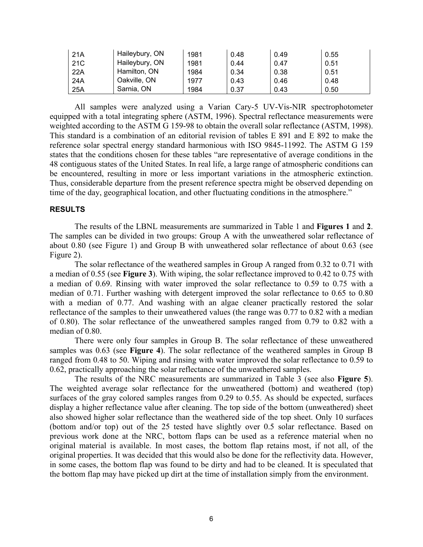| 21A             | Haileybury, ON | 1981 | 0.48 | 0.49 | 0.55 |
|-----------------|----------------|------|------|------|------|
| 21 <sub>C</sub> | Haileybury, ON | 1981 | 0.44 | 0.47 | 0.51 |
| 22A             | Hamilton, ON   | 1984 | 0.34 | 0.38 | 0.51 |
| 24A             | Oakville, ON   | 1977 | 0.43 | 0.46 | 0.48 |
| 25A             | Sarnia, ON     | 1984 | 0.37 | 0.43 | 0.50 |

All samples were analyzed using a Varian Cary-5 UV-Vis-NIR spectrophotometer equipped with a total integrating sphere (ASTM, 1996). Spectral reflectance measurements were weighted according to the ASTM G 159-98 to obtain the overall solar reflectance (ASTM, 1998). This standard is a combination of an editorial revision of tables E 891 and E 892 to make the reference solar spectral energy standard harmonious with ISO 9845-11992. The ASTM G 159 states that the conditions chosen for these tables "are representative of average conditions in the 48 contiguous states of the United States. In real life, a large range of atmospheric conditions can be encountered, resulting in more or less important variations in the atmospheric extinction. Thus, considerable departure from the present reference spectra might be observed depending on time of the day, geographical location, and other fluctuating conditions in the atmosphere."

# **RESULTS**

The results of the LBNL measurements are summarized in Table 1 and **Figures 1** and **2**. The samples can be divided in two groups: Group A with the unweathered solar reflectance of about 0.80 (see Figure 1) and Group B with unweathered solar reflectance of about 0.63 (see Figure 2).

The solar reflectance of the weathered samples in Group A ranged from 0.32 to 0.71 with a median of 0.55 (see **Figure 3**). With wiping, the solar reflectance improved to 0.42 to 0.75 with a median of 0.69. Rinsing with water improved the solar reflectance to 0.59 to 0.75 with a median of 0.71. Further washing with detergent improved the solar reflectance to 0.65 to 0.80 with a median of 0.77. And washing with an algae cleaner practically restored the solar reflectance of the samples to their unweathered values (the range was 0.77 to 0.82 with a median of 0.80). The solar reflectance of the unweathered samples ranged from 0.79 to 0.82 with a median of 0.80.

There were only four samples in Group B. The solar reflectance of these unweathered samples was 0.63 (see **Figure 4**). The solar reflectance of the weathered samples in Group B ranged from 0.48 to 50. Wiping and rinsing with water improved the solar reflectance to 0.59 to 0.62, practically approaching the solar reflectance of the unweathered samples.

The results of the NRC measurements are summarized in Table 3 (see also **Figure 5**). The weighted average solar reflectance for the unweathered (bottom) and weathered (top) surfaces of the gray colored samples ranges from 0.29 to 0.55. As should be expected, surfaces display a higher reflectance value after cleaning. The top side of the bottom (unweathered) sheet also showed higher solar reflectance than the weathered side of the top sheet. Only 10 surfaces (bottom and/or top) out of the 25 tested have slightly over 0.5 solar reflectance. Based on previous work done at the NRC, bottom flaps can be used as a reference material when no original material is available. In most cases, the bottom flap retains most, if not all, of the original properties. It was decided that this would also be done for the reflectivity data. However, in some cases, the bottom flap was found to be dirty and had to be cleaned. It is speculated that the bottom flap may have picked up dirt at the time of installation simply from the environment.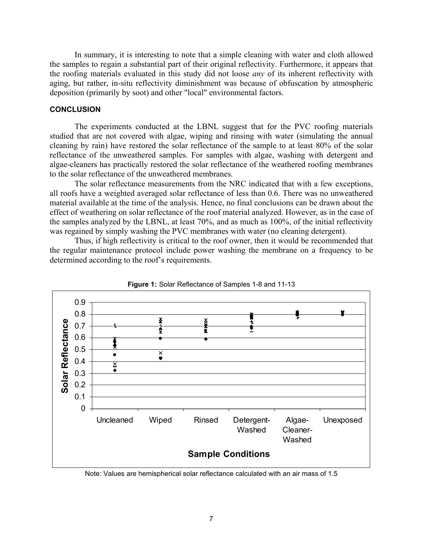In summary, it is interesting to note that a simple cleaning with water and cloth allowed the samples to regain a substantial part of their original reflectivity. Furthermore, it appears that the roofing materials evaluated in this study did not loose *any* of its inherent reflectivity with aging, but rather, in-situ reflectivity diminishment was because of obfuscation by atmospheric deposition (primarily by soot) and other "local" environmental factors.

## **CONCLUSION**

The experiments conducted at the LBNL suggest that for the PVC roofing materials studied that are not covered with algae, wiping and rinsing with water (simulating the annual cleaning by rain) have restored the solar reflectance of the sample to at least 80% of the solar reflectance of the unweathered samples. For samples with algae, washing with detergent and algae-cleaners has practically restored the solar reflectance of the weathered roofing membranes to the solar reflectance of the unweathered membranes.

The solar reflectance measurements from the NRC indicated that with a few exceptions, all roofs have a weighted averaged solar reflectance of less than 0.6. There was no unweathered material available at the time of the analysis. Hence, no final conclusions can be drawn about the effect of weathering on solar reflectance of the roof material analyzed. However, as in the case of the samples analyzed by the LBNL, at least 70%, and as much as 100%, of the initial reflectivity was regained by simply washing the PVC membranes with water (no cleaning detergent).

Thus, if high reflectivity is critical to the roof owner, then it would be recommended that the regular maintenance protocol include power washing the membrane on a frequency to be determined according to the roof's requirements.





Note: Values are hemispherical solar reflectance calculated with an air mass of 1.5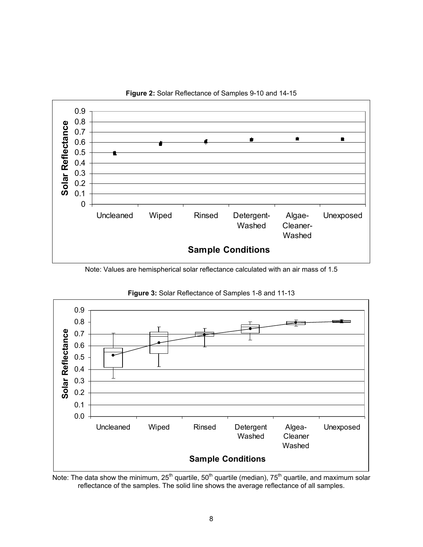

**Figure 2:** Solar Reflectance of Samples 9-10 and 14-15

Note: Values are hemispherical solar reflectance calculated with an air mass of 1.5



**Figure 3:** Solar Reflectance of Samples 1-8 and 11-13

Note: The data show the minimum, 25<sup>th</sup> quartile, 50<sup>th</sup> quartile (median), 75<sup>th</sup> quartile, and maximum solar reflectance of the samples. The solid line shows the average reflectance of all samples.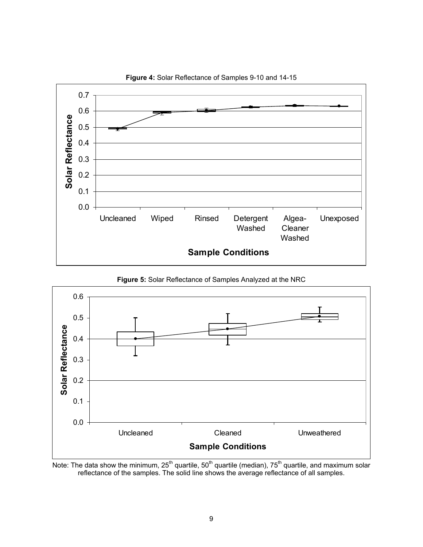

**Figure 4:** Solar Reflectance of Samples 9-10 and 14-15

**Figure 5:** Solar Reflectance of Samples Analyzed at the NRC



Note: The data show the minimum, 25<sup>th</sup> quartile, 50<sup>th</sup> quartile (median), 75<sup>th</sup> quartile, and maximum solar reflectance of the samples. The solid line shows the average reflectance of all samples.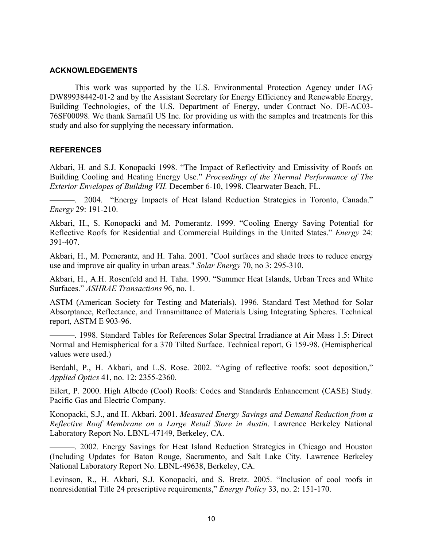# **ACKNOWLEDGEMENTS**

This work was supported by the U.S. Environmental Protection Agency under IAG DW89938442-01-2 and by the Assistant Secretary for Energy Efficiency and Renewable Energy, Building Technologies, of the U.S. Department of Energy, under Contract No. DE-AC03- 76SF00098. We thank Sarnafil US Inc. for providing us with the samples and treatments for this study and also for supplying the necessary information.

# **REFERENCES**

Akbari, H. and S.J. Konopacki 1998. "The Impact of Reflectivity and Emissivity of Roofs on Building Cooling and Heating Energy Use." *Proceedings of the Thermal Performance of The Exterior Envelopes of Building VII.* December 6-10, 1998. Clearwater Beach, FL.

———. 2004. "Energy Impacts of Heat Island Reduction Strategies in Toronto, Canada." *Energy* 29: 191-210.

Akbari, H., S. Konopacki and M. Pomerantz. 1999. "Cooling Energy Saving Potential for Reflective Roofs for Residential and Commercial Buildings in the United States." *Energy* 24: 391-407.

Akbari, H., M. Pomerantz, and H. Taha. 2001. "Cool surfaces and shade trees to reduce energy use and improve air quality in urban areas." *Solar Energy* 70, no 3: 295-310.

Akbari, H., A.H. Rosenfeld and H. Taha. 1990. "Summer Heat Islands, Urban Trees and White Surfaces." *ASHRAE Transactions* 96, no. 1.

ASTM (American Society for Testing and Materials). 1996. Standard Test Method for Solar Absorptance, Reflectance, and Transmittance of Materials Using Integrating Spheres. Technical report, ASTM E 903-96.

———. 1998. Standard Tables for References Solar Spectral Irradiance at Air Mass 1.5: Direct Normal and Hemispherical for a 370 Tilted Surface. Technical report, G 159-98. (Hemispherical values were used.)

Berdahl, P., H. Akbari, and L.S. Rose. 2002. "Aging of reflective roofs: soot deposition," *Applied Optics* 41, no. 12: 2355-2360.

Eilert, P. 2000. High Albedo (Cool) Roofs: Codes and Standards Enhancement (CASE) Study. Pacific Gas and Electric Company.

Konopacki, S.J., and H. Akbari. 2001. *Measured Energy Savings and Demand Reduction from a Reflective Roof Membrane on a Large Retail Store in Austin*. Lawrence Berkeley National Laboratory Report No. LBNL-47149, Berkeley, CA.

———. 2002. Energy Savings for Heat Island Reduction Strategies in Chicago and Houston (Including Updates for Baton Rouge, Sacramento, and Salt Lake City. Lawrence Berkeley National Laboratory Report No. LBNL-49638, Berkeley, CA.

Levinson, R., H. Akbari, S.J. Konopacki, and S. Bretz. 2005. "Inclusion of cool roofs in nonresidential Title 24 prescriptive requirements," *Energy Policy* 33, no. 2: 151-170.